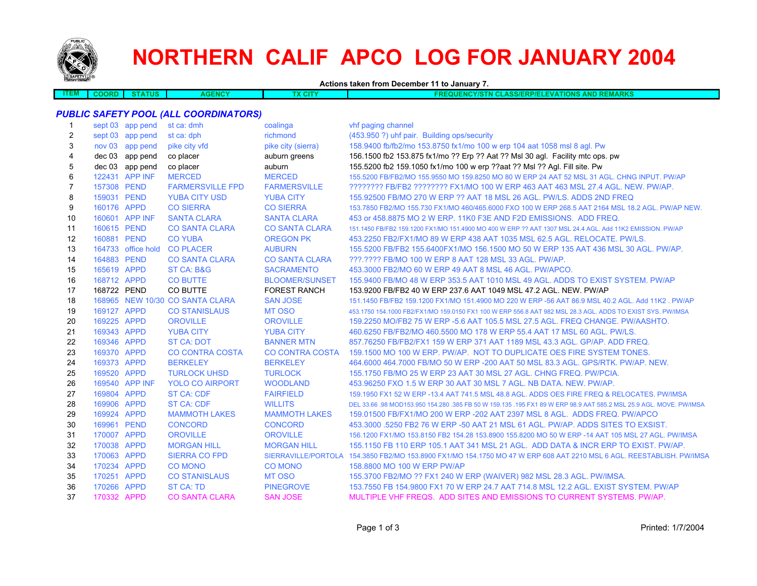

 $\Box$ 

# **NORTHERN CALIF APCO LOG FOR JANUARY 2004**

**Actions taken from December 11 to January 7.**

| <b>TEAL</b><br><b>AIVI</b> | ori | ENCY<br><b>IX 6.</b> | <b>CIT</b> | <b>REMARKS</b><br><b>AND</b><br>AICVIC<br><b>ASS/EF</b><br>TIONS<br>- RF<br>-1-11-<br>. .<br>.<br>.<br>. |
|----------------------------|-----|----------------------|------------|----------------------------------------------------------------------------------------------------------|
|                            |     |                      |            |                                                                                                          |

### *PUBLIC SAFETY POOL (ALL COORDINATORS)*

| 1  |             | sept 03 app pend | st ca: dmh                      | coalinga               | vhf paging channel                                                                                                    |
|----|-------------|------------------|---------------------------------|------------------------|-----------------------------------------------------------------------------------------------------------------------|
| 2  |             | sept 03 app pend | st ca: dph                      | richmond               | (453.950 ?) uhf pair. Building ops/security                                                                           |
| 3  |             | nov 03 app pend  | pike city vfd                   | pike city (sierra)     | 158.9400 fb/fb2/mo 153.8750 fx1/mo 100 w erp 104 aat 1058 msl 8 agl. Pw                                               |
| 4  |             | dec 03 app pend  | co placer                       | auburn greens          | 156.1500 fb2 153.875 fx1/mo ?? Erp ?? Aat ?? Msl 30 agl. Facility mtc ops. pw                                         |
| 5  |             | dec 03 app pend  | co placer                       | auburn                 | 155.5200 fb2 159.1050 fx1/mo 100 w erp ??aat ?? Msl ?? Agl. Fill site. Pw                                             |
| 6  |             | 122431 APP INF   | <b>MERCED</b>                   | <b>MERCED</b>          | 155,5200 FB/FB2/MO 155,9550 MO 159,8250 MO 80 W ERP 24 AAT 52 MSL 31 AGL. CHNG INPUT, PW/AP                           |
| 7  | 157308 PEND |                  | <b>FARMERSVILLE FPD</b>         | <b>FARMERSVILLE</b>    | 22222222 FB/FB2 22222222 FX1/MO 100 W ERP 463 AAT 463 MSL 27.4 AGL. NEW, PW/AP.                                       |
| 8  | 159031 PEND |                  | <b>YUBA CITY USD</b>            | <b>YUBA CITY</b>       | 155,92500 FB/MO 270 W ERP ?? AAT 18 MSL 26 AGL, PW/LS, ADDS 2ND FREQ                                                  |
| 9  | 160176 APPD |                  | <b>CO SIERRA</b>                | <b>CO SIERRA</b>       | 153.7850 FB2/MO 155.730 FX1/MO 460/465.6000 FXO 100 W ERP 268.5 AAT 2164 MSL 18.2 AGL, PW/AP NEW.                     |
| 10 |             | 160601 APP INF   | <b>SANTA CLARA</b>              | <b>SANTA CLARA</b>     | 453 or 458.8875 MO 2 W ERP. 11K0 F3E AND F2D EMISSIONS. ADD FREQ.                                                     |
| 11 | 160615 PEND |                  | <b>CO SANTA CLARA</b>           | <b>CO SANTA CLARA</b>  | 151.1450 FB/FB2 159.1200 FX1/MO 151.4900 MO 400 W ERP ?? AAT 1307 MSL 24.4 AGL. Add 11K2 EMISSION, PW/AP              |
| 12 | 160881 PEND |                  | <b>CO YUBA</b>                  | <b>OREGON PK</b>       | 453.2250 FB2/FX1/MO 89 W ERP 438 AAT 1035 MSL 62.5 AGL. RELOCATE. PW/LS.                                              |
| 13 |             |                  | 164733 office hold CO PLACER    | <b>AUBURN</b>          | 155,5200 FB/FB2 155,6400FX1/MO 156,1500 MO 50 W ERP 135 AAT 436 MSL 30 AGL, PW/AP.                                    |
| 14 | 164883 PEND |                  | <b>CO SANTA CLARA</b>           | <b>CO SANTA CLARA</b>  | ???.???? FB/MO 100 W ERP 8 AAT 128 MSL 33 AGL. PW/AP.                                                                 |
| 15 | 165619 APPD |                  | ST CA: B&G                      | <b>SACRAMENTO</b>      | 453,3000 FB2/MO 60 W ERP 49 AAT 8 MSL 46 AGL, PW/APCO.                                                                |
| 16 | 168712 APPD |                  | <b>CO BUTTE</b>                 | <b>BLOOMER/SUNSET</b>  | 155,9400 FB/MO 48 W ERP 353.5 AAT 1010 MSL 49 AGL, ADDS TO EXIST SYSTEM, PW/AP                                        |
| 17 | 168722 PEND |                  | CO BUTTE                        | <b>FOREST RANCH</b>    | 153.9200 FB/FB2 40 W ERP 237.6 AAT 1049 MSL 47.2 AGL, NEW, PW/AP                                                      |
| 18 |             |                  | 168965 NEW 10/30 CO SANTA CLARA | <b>SAN JOSE</b>        | 151.1450 FB/FB2 159.1200 FX1/MO 151.4900 MO 220 W ERP -56 AAT 86.9 MSL 40.2 AGL, Add 11K2, PW/AP                      |
| 19 | 169127 APPD |                  | <b>CO STANISLAUS</b>            | <b>MT OSO</b>          | 453,1750 154,1000 FB2/FX1/MO 159,0150 FX1 100 W ERP 556.8 AAT 982 MSL 28.3 AGL, ADDS TO EXIST SYS, PW/IMSA            |
| 20 | 169225 APPD |                  | <b>OROVILLE</b>                 | <b>OROVILLE</b>        | 159.2250 MO/FB2 75 W ERP -5.6 AAT 105.5 MSL 27.5 AGL. FREQ CHANGE, PW/AASHTO.                                         |
| 21 | 169343 APPD |                  | <b>YUBA CITY</b>                | <b>YUBA CITY</b>       | 460.6250 FB/FB2/MO 460.5500 MO 178 W ERP 55.4 AAT 17 MSL 60 AGL, PW/LS.                                               |
| 22 | 169346 APPD |                  | <b>ST CA: DOT</b>               | <b>BANNER MTN</b>      | 857.76250 FB/FB2/FX1 159 W ERP 371 AAT 1189 MSL 43.3 AGL, GP/AP, ADD FREQ.                                            |
| 23 | 169370 APPD |                  | <b>CO CONTRA COSTA</b>          | <b>CO CONTRA COSTA</b> | 159,1500 MO 100 W ERP. PW/AP. NOT TO DUPLICATE OES FIRE SYSTEM TONES.                                                 |
| 24 | 169373 APPD |                  | <b>BERKELEY</b>                 | <b>BERKELEY</b>        | 464,6000 464,7000 FB/MO 50 W ERP -200 AAT 50 MSL 83.3 AGL, GPS/RTK, PW/AP, NEW.                                       |
| 25 | 169520 APPD |                  | <b>TURLOCK UHSD</b>             | <b>TURLOCK</b>         | 155.1750 FB/MO 25 W ERP 23 AAT 30 MSL 27 AGL. CHNG FREQ. PW/PCIA.                                                     |
| 26 |             | 169540 APP INF   | <b>YOLO CO AIRPORT</b>          | <b>WOODLAND</b>        | 453.96250 FXO 1.5 W ERP 30 AAT 30 MSL 7 AGL. NB DATA. NEW. PW/AP.                                                     |
| 27 | 169804 APPD |                  | <b>ST CA: CDF</b>               | <b>FAIRFIELD</b>       | 159.1950 FX1 52 W ERP -13.4 AAT 741.5 MSL 48.8 AGL. ADDS OES FIRE FREQ & RELOCATES. PW/IMSA                           |
| 28 | 169906 APPD |                  | <b>ST CA: CDF</b>               | <b>WILLITS</b>         | DEL 33.66 .98 MOD153.950 154.280 .385 FB 50 W 159.135 .195 FX1 89 W ERP 98.9 AAT 585.2 MSL 25.9 AGL. MOVE. PW/IMSA    |
| 29 | 169924 APPD |                  | <b>MAMMOTH LAKES</b>            | <b>MAMMOTH LAKES</b>   | 159,01500 FB/FX1/MO 200 W ERP -202 AAT 2397 MSL 8 AGL. ADDS FREQ, PW/APCO                                             |
| 30 | 169961 PEND |                  | <b>CONCORD</b>                  | <b>CONCORD</b>         | 453,3000 .5250 FB2 76 W ERP -50 AAT 21 MSL 61 AGL, PW/AP, ADDS SITES TO EXSIST.                                       |
| 31 | 170007 APPD |                  | <b>OROVILLE</b>                 | <b>OROVILLE</b>        | 156.1200 FX1/MO 153.8150 FB2 154.28 153.8900 155.8200 MO 50 W ERP -14 AAT 105 MSL 27 AGL. PW/IMSA                     |
| 32 | 170038 APPD |                  | <b>MORGAN HILL</b>              | <b>MORGAN HILL</b>     | 155.1150 FB 110 ERP 105.1 AAT 341 MSL 21 AGL. ADD DATA & INCR ERP TO EXIST, PW/AP.                                    |
| 33 | 170063 APPD |                  | <b>SIERRA CO FPD</b>            |                        | SIERRAVILLE/PORTOLA 154.3850 FB2/MO 153.8900 FX1/MO 154.1750 MO 47 W ERP 608 AAT 2210 MSL 6 AGL. REESTABLISH. PW/IMSA |
| 34 | 170234 APPD |                  | <b>CO MONO</b>                  | <b>CO MONO</b>         | 158,8800 MO 100 W ERP PW/AP                                                                                           |
| 35 | 170251 APPD |                  | <b>CO STANISLAUS</b>            | <b>MT OSO</b>          | 155.3700 FB2/MO ?? FX1 240 W ERP (WAIVER) 982 MSL 28.3 AGL. PW/IMSA.                                                  |
| 36 | 170266 APPD |                  | <b>ST CA: TD</b>                | <b>PINEGROVE</b>       | 153.7550 FB 154.9800 FX1 70 W ERP 24.7 AAT 714.8 MSL 12.2 AGL. EXIST SYSTEM. PW/AP                                    |
| 37 | 170332 APPD |                  | <b>CO SANTA CLARA</b>           | <b>SAN JOSE</b>        | MULTIPLE VHF FREQS. ADD SITES AND EMISSIONS TO CURRENT SYSTEMS. PW/AP.                                                |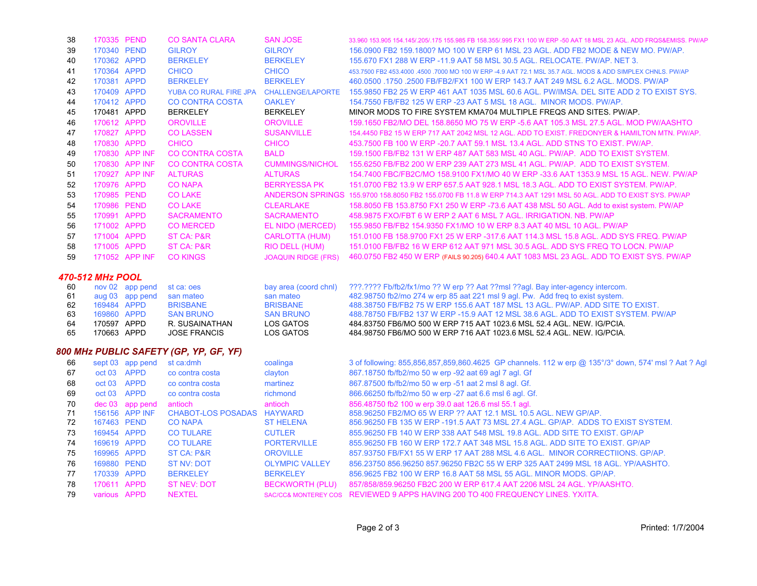| 38           | 170335 PEND |                | <b>CO SANTA CLARA</b>  | <b>SAN JOSE</b>            | 33.960 153.905 154.145/205/175 155.985 FB 158.355/995 FX1 100 W ERP -50 AAT 18 MSL 23 AGL. ADD FROS&EMISS, PW/AP |
|--------------|-------------|----------------|------------------------|----------------------------|------------------------------------------------------------------------------------------------------------------|
| 39           | 170340 PEND |                | <b>GILROY</b>          | <b>GILROY</b>              | 156,0900 FB2 159,1800? MO 100 W ERP 61 MSL 23 AGL. ADD FB2 MODE & NEW MO, PW/AP.                                 |
| 40           | 170362 APPD |                | <b>BERKELEY</b>        | <b>BERKELEY</b>            | 155,670 FX1 288 W ERP -11.9 AAT 58 MSL 30.5 AGL, RELOCATE, PW/AP, NET 3.                                         |
| 41           | 170364 APPD |                | <b>CHICO</b>           | <b>CHICO</b>               | 453.7500 FB2 453.4000 4500 7000 MO 100 W ERP -4.9 AAT 72.1 MSL 35.7 AGL, MODS & ADD SIMPLEX CHNLS, PW/AP         |
| 42           | 170381 APPD |                | <b>BERKELEY</b>        | <b>BERKELEY</b>            | 460,0500 .1750 .2500 FB/FB2/FX1 100 W ERP 143.7 AAT 249 MSL 6.2 AGL, MODS, PW/AP                                 |
| 43           | 170409      | <b>APPD</b>    | YUBA CO RURAL FIRE JPA | <b>CHALLENGE/LAPORTE</b>   | 155,9850 FB2 25 W ERP 461 AAT 1035 MSL 60.6 AGL, PW/IMSA, DEL SITE ADD 2 TO EXIST SYS.                           |
| 44           | 170412 APPD |                | <b>CO CONTRA COSTA</b> | <b>OAKLEY</b>              | 154.7550 FB/FB2 125 W ERP -23 AAT 5 MSL 18 AGL. MINOR MODS, PW/AP.                                               |
| 45           | 170481 APPD |                | <b>BERKELEY</b>        | <b>BERKELEY</b>            | MINOR MODS TO FIRE SYSTEM KMA704 MULTIPLE FREQS AND SITES. PW/AP.                                                |
| 46           | 170612 APPD |                | <b>OROVILLE</b>        | <b>OROVILLE</b>            | 159.1650 FB2/MO DEL 158.8650 MO 75 W ERP -5.6 AAT 105.3 MSL 27.5 AGL, MOD PW/AASHTO                              |
| 47           | 170827 APPD |                | <b>COLASSEN</b>        | <b>SUSANVILLE</b>          | 154,4450 FB2 15 W ERP 717 AAT 2042 MSL 12 AGL, ADD TO EXIST, FREDONYER & HAMILTON MTN, PW/AP,                    |
| 48           | 170830 APPD |                | <b>CHICO</b>           | <b>CHICO</b>               | 453.7500 FB 100 W ERP -20.7 AAT 59.1 MSL 13.4 AGL. ADD STNS TO EXIST. PW/AP.                                     |
| 49           | 170830      | APP INF        | CO CONTRA COSTA        | <b>BALD</b>                | 159 1500 FB/FB2 131 W FRP 487 AAT 583 MSL 40 AGL. PW/AP ADD TO EXIST SYSTEM                                      |
| $50^{\circ}$ |             | 170830 APP INF | CO CONTRA COSTA        | CUMMINGS/NICHOL            | 155 6250 FB/FB2 200 W FRP 239 AAT 273 MSL 41 AGL. PW/AP ADD TO EXIST SYSTEM                                      |
| .51          |             | 170927 APP INF | <b>ALTURAS</b>         | <b>AI TURAS</b>            | 154.7400 FBC/FB2C/MO 158.9100 FX1/MO 40 W ERP -33.6 AAT 1353.9 MSL 15 AGL, NEW, PW/AP                            |
| 52           | 170976      | <b>APPD</b>    | <b>CO NAPA</b>         | <b>BERRYESSA PK</b>        | 151,0700 FB2 13.9 W ERP 657.5 AAT 928.1 MSL 18.3 AGL, ADD TO EXIST SYSTEM, PW/AP.                                |
| 53           | 170985 PEND |                | <b>CO LAKE</b>         |                            | ANDERSON SPRINGS 155,9700 158,8050 FB2 155,0700 FB 11.8 W ERP 714.3 AAT 1291 MSL 50 AGL, ADD TO EXIST SYS, PWAP  |
| 54           | 170986      | <b>PEND</b>    | <b>CO LAKE</b>         | <b>CLEARLAKE</b>           | 158.8050 FB 153.8750 FX1 250 W ERP -73.6 AAT 438 MSL 50 AGL. Add to exist system. PW/AP                          |
| 55           | 170991      | APPD           | <b>SACRAMENTO</b>      | <b>SACRAMENTO</b>          | 458,9875 FXO/FBT 6 W ERP 2 AAT 6 MSL 7 AGL. IRRIGATION, NB, PW/AP                                                |
| 56           | 171002      | <b>APPD</b>    | <b>CO MERCED</b>       | EL NIDO (MERCED)           | 155,9850 FB/FB2 154,9350 FX1/MO 10 W ERP 8.3 AAT 40 MSL 10 AGL, PW/AP                                            |
| 57           | 171004      | <b>APPD</b>    | ST CA: P&R             | <b>CARLOTTA (HUM)</b>      | 151,0100 FB 158,9700 FX1 25 W ERP -317.6 AAT 114.3 MSL 15.8 AGL, ADD SYS FREQ, PW/AP                             |
| 58           | 171005 APPD |                | ST CA: P&R             | RIO DELL (HUM)             | 151,0100 FB/FB2 16 W ERP 612 AAT 971 MSL 30.5 AGL. ADD SYS FREQ TO LOCN, PW/AP                                   |
| 59           |             | 171052 APP INF | <b>CO KINGS</b>        | <b>JOAQUIN RIDGE (FRS)</b> | 460.0750 FB2 450 W ERP (FAILS 90.205) 640.4 AAT 1083 MSL 23 AGL. ADD TO EXIST SYS. PW/AP                         |
|              |             |                |                        |                            |                                                                                                                  |

#### *470-512 MHz POOL*

| 60 | nov 02 app pend st ca: oes |                     | bay area (coord chnl) | ???.???? Fb/fb2/fx1/mo ?? W erp ?? Aat ??msl ??agl. Bay inter-agency intercom.   |
|----|----------------------------|---------------------|-----------------------|----------------------------------------------------------------------------------|
| 61 | aug 03 app pend            | san mateo           | san mateo             | 482.98750 fb2/mo 274 w erp 85 aat 221 msl 9 agl. Pw. Add freq to exist system.   |
| 62 | 169484 APPD                | <b>BRISBANE</b>     | <b>BRISBANE</b>       | 488,38750 FB/FB2 75 W ERP 155.6 AAT 187 MSL 13 AGL, PW/AP, ADD SITE TO EXIST.    |
| 63 | 169860 APPD                | <b>SAN BRUNO</b>    | <b>SAN BRUNO</b>      | 488.78750 FB/FB2 137 W ERP -15.9 AAT 12 MSL 38.6 AGL, ADD TO EXIST SYSTEM, PW/AP |
| 64 | 170597 APPD                | R. SUSAINATHAN      | LOS GATOS             | 484.83750 FB6/MO 500 W ERP 715 AAT 1023.6 MSL 52.4 AGL. NEW. IG/PCIA.            |
| 65 | 170663 APPD                | <b>JOSE FRANCIS</b> | LOS GATOS             | 484.98750 FB6/MO 500 W ERP 716 AAT 1023.6 MSL 52.4 AGL. NEW. IG/PCIA.            |

## *800 MHz PUBLIC SAFETY (GP, YP, GF, YF)*

| 66 |              | sept 03 app pend | st ca:dmh                 | coalinga               | 3 of following: 855,856,857,859,860.4625 GP channels. 112 w erp @ 135°/3° down, 574' msl ? Aat ? Agl |
|----|--------------|------------------|---------------------------|------------------------|------------------------------------------------------------------------------------------------------|
| 67 | oct 03 APPD  |                  | co contra costa           | clayton                | 867.18750 fb/fb2/mo 50 w erp -92 aat 69 agl 7 agl. Gf                                                |
| 68 | oct 03 APPD  |                  | co contra costa           | martinez               | 867.87500 fb/fb2/mo 50 w erp -51 aat 2 msl 8 agl. Gf.                                                |
| 69 | oct 03 APPD  |                  | co contra costa           | richmond               | 866.66250 fb/fb2/mo 50 w erp -27 aat 6.6 msl 6 agl. Gf.                                              |
| 70 |              | dec 03 app pend  | antioch                   | antioch                | 856.48750 fb2 100 w erp 39.0 aat 126.6 msl 55.1 agl.                                                 |
| 71 |              | 156156 APP INF   | <b>CHABOT-LOS POSADAS</b> | <b>HAYWARD</b>         | 858,96250 FB2/MO 65 W ERP ?? AAT 12.1 MSL 10.5 AGL, NEW GP/AP.                                       |
| 72 | 167463 PEND  |                  | <b>CO NAPA</b>            | <b>ST HELENA</b>       | 856,96250 FB 135 W ERP -191.5 AAT 73 MSL 27.4 AGL, GP/AP, ADDS TO EXIST SYSTEM.                      |
| 73 | 169454 APPD  |                  | <b>CO TULARE</b>          | <b>CUTLER</b>          | 855,96250 FB 140 W ERP 338 AAT 548 MSL 19.8 AGL, ADD SITE TO EXIST, GP/AP                            |
| 74 | 169619 APPD  |                  | <b>CO TULARE</b>          | <b>PORTERVILLE</b>     | 855,96250 FB 160 W ERP 172.7 AAT 348 MSL 15.8 AGL, ADD SITE TO EXIST, GP/AP                          |
| 75 | 169965 APPD  |                  | <b>ST CA: P&amp;R</b>     | <b>OROVILLE</b>        | 857,93750 FB/FX1 55 W ERP 17 AAT 288 MSL 4.6 AGL. MINOR CORRECTIIONS, GP/AP.                         |
| 76 | 169880 PEND  |                  | ST NV: DOT                | <b>OLYMPIC VALLEY</b>  | 856.23750 856.96250 857.96250 FB2C 55 W ERP 325 AAT 2499 MSL 18 AGL, YP/AASHTO.                      |
| 77 | 170339 APPD  |                  | <b>BERKELEY</b>           | <b>BERKELEY</b>        | 856.9625 FB2 100 W ERP 16.8 AAT 58 MSL 55 AGL, MINOR MODS, GP/AP,                                    |
| 78 | 170611 APPD  |                  | <b>ST NEV: DOT</b>        | <b>BECKWORTH (PLU)</b> | 857/858/859.96250 FB2C 200 W ERP 617.4 AAT 2206 MSL 24 AGL, YP/AASHTO.                               |
| 79 | various APPD |                  | <b>NEXTEL</b>             |                        | SAC/CC& MONTEREY COS REVIEWED 9 APPS HAVING 200 TO 400 FREQUENCY LINES, YX/ITA.                      |